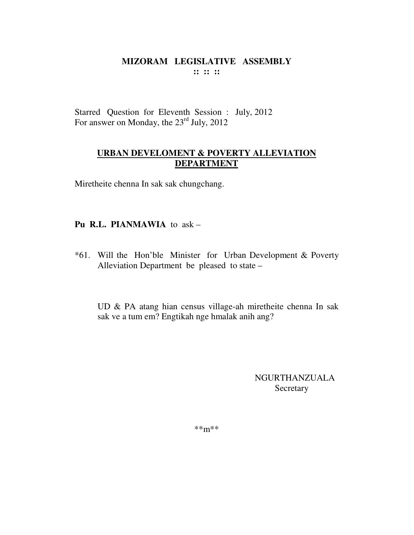Starred Question for Eleventh Session : July, 2012 For answer on Monday, the 23<sup>rd</sup> July, 2012

## **URBAN DEVELOMENT & POVERTY ALLEVIATION DEPARTMENT**

Miretheite chenna In sak sak chungchang.

## **Pu R.L. PIANMAWIA** to ask –

\*61. Will the Hon'ble Minister for Urban Development & Poverty Alleviation Department be pleased to state –

UD & PA atang hian census village-ah miretheite chenna In sak sak ve a tum em? Engtikah nge hmalak anih ang?

> NGURTHANZUALA Secretary

\*\*m\*\*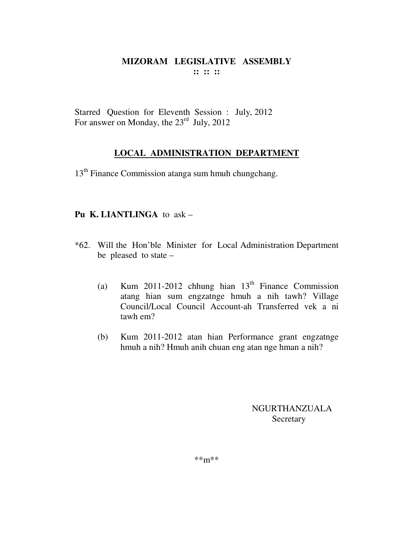Starred Question for Eleventh Session : July, 2012 For answer on Monday, the  $23<sup>rd</sup>$  July, 2012

# **LOCAL ADMINISTRATION DEPARTMENT**

13<sup>th</sup> Finance Commission atanga sum hmuh chungchang.

## **Pu K. LIANTLINGA** to ask –

- \*62. Will the Hon'ble Minister for Local Administration Department be pleased to state –
	- (a) Kum 2011-2012 chhung hian  $13<sup>th</sup>$  Finance Commission atang hian sum engzatnge hmuh a nih tawh? Village Council/Local Council Account-ah Transferred vek a ni tawh em?
	- (b) Kum 2011-2012 atan hian Performance grant engzatnge hmuh a nih? Hmuh anih chuan eng atan nge hman a nih?

NGURTHANZUALA Secretary

\*\*m\*\*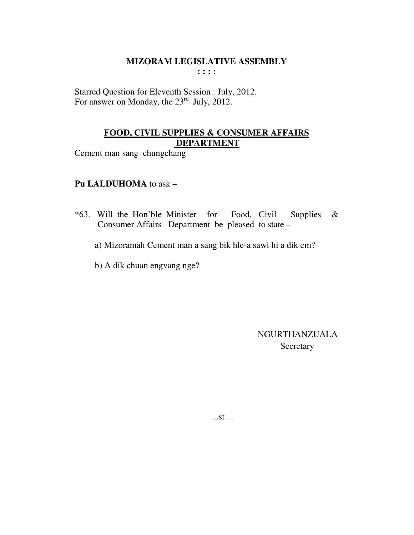Starred Question for Eleventh Session : July, 2012. For answer on Monday, the 23<sup>rd</sup> July, 2012.

## **FOOD, CIVIL SUPPLIES & CONSUMER AFFAIRS DEPARTMENT**

Cement man sang chungchang

## **Pu LALDUHOMA** to ask –

- \*63. Will the Hon'ble Minister for Food, Civil Supplies & Consumer Affairs Department be pleased to state –
	- a) Mizoramah Cement man a sang bik hle-a sawi hi a dik em?
	- b) A dik chuan engvang nge?

 NGURTHANZUALA **Secretary** 

...st…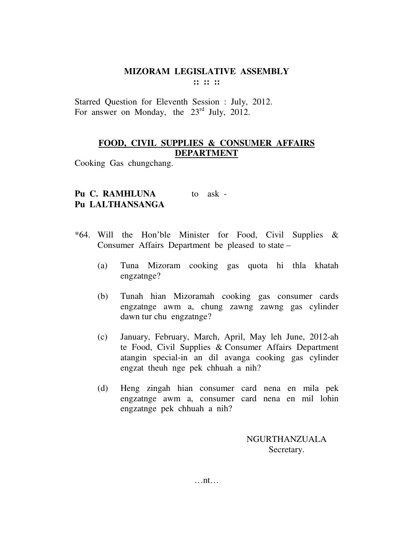Starred Question for Eleventh Session : July, 2012. For answer on Monday, the  $23<sup>rd</sup>$  July, 2012.

## **FOOD, CIVIL SUPPLIES & CONSUMER AFFAIRS DEPARTMENT**

Cooking Gas chungchang.

# Pu C. RAMHLUNA to ask -**Pu LALTHANSANGA**

- \*64. Will the Hon'ble Minister for Food, Civil Supplies & Consumer Affairs Department be pleased to state –
	- (a) Tuna Mizoram cooking gas quota hi thla khatah engzatnge?
	- (b) Tunah hian Mizoramah cooking gas consumer cards engzatnge awm a, chung zawng zawng gas cylinder dawn tur chu engzatnge?
	- (c) January, February, March, April, May leh June, 2012-ah te Food, Civil Supplies & Consumer Affairs Department atangin special-in an dil avanga cooking gas cylinder engzat theuh nge pek chhuah a nih?
	- (d) Heng zingah hian consumer card nena en mila pek engzatnge awm a, consumer card nena en mil lohin engzatnge pek chhuah a nih?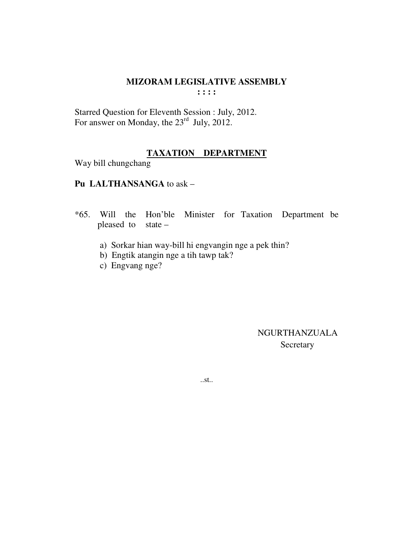Starred Question for Eleventh Session : July, 2012. For answer on Monday, the  $23<sup>rd</sup>$  July, 2012.

## **TAXATION DEPARTMENT**

Way bill chungchang

### **Pu LALTHANSANGA** to ask –

- \*65. Will the Hon'ble Minister for Taxation Department be pleased to state –
	- a) Sorkar hian way-bill hi engvangin nge a pek thin?
	- b) Engtik atangin nge a tih tawp tak?
	- c) Engvang nge?

 NGURTHANZUALA Secretary

..st..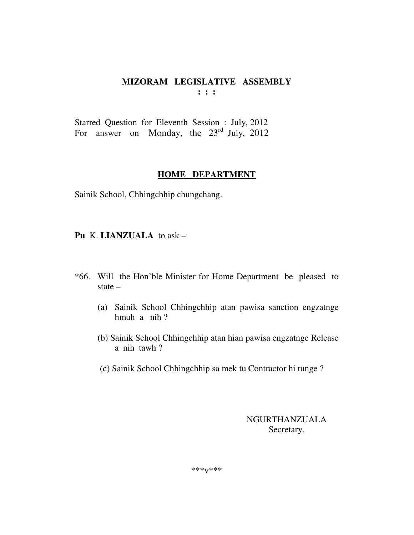Starred Question for Eleventh Session : July, 2012 For answer on Monday, the  $23<sup>rd</sup>$  July, 2012

#### **HOME DEPARTMENT**

Sainik School, Chhingchhip chungchang.

**Pu** K. **LIANZUALA** to ask –

- \*66. Will the Hon'ble Minister for Home Department be pleased to state –
	- (a) Sainik School Chhingchhip atan pawisa sanction engzatnge hmuh a nih ?
	- (b) Sainik School Chhingchhip atan hian pawisa engzatnge Release a nih tawh ?
	- (c) Sainik School Chhingchhip sa mek tu Contractor hi tunge ?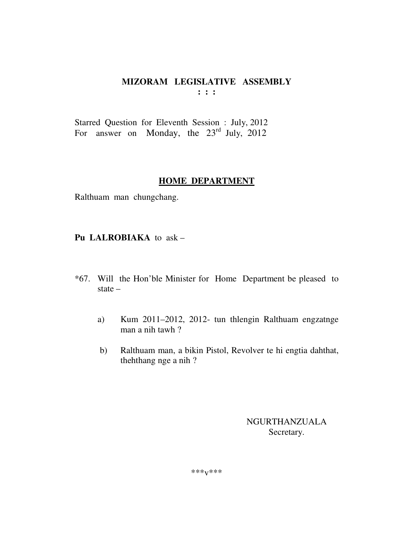Starred Question for Eleventh Session : July, 2012 For answer on Monday, the  $23^{rd}$  July, 2012

#### **HOME DEPARTMENT**

Ralthuam man chungchang.

Pu LALROBIAKA to ask -

- \*67. Will the Hon'ble Minister for Home Department be pleased to state  $-$ 
	- Kum 2011-2012, 2012- tun thlengin Ralthuam engzatnge  $a)$ man a nih tawh?
	- Ralthuam man, a bikin Pistol, Revolver te hi engtia dahthat,  $b)$ thehthang nge a nih?

**NGURTHANZUALA** Secretary.

\*\*\* $V$ \*\*\*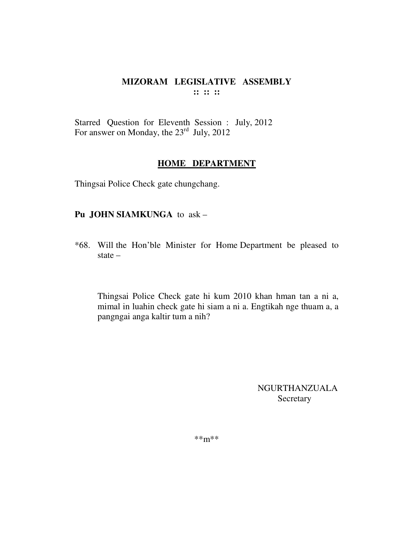Starred Question for Eleventh Session : July, 2012 For answer on Monday, the 23<sup>rd</sup> July, 2012

#### **HOME DEPARTMENT**

Thingsai Police Check gate chungchang.

#### **Pu JOHN SIAMKUNGA** to ask –

\*68. Will the Hon'ble Minister for Home Department be pleased to state –

Thingsai Police Check gate hi kum 2010 khan hman tan a ni a, mimal in luahin check gate hi siam a ni a. Engtikah nge thuam a, a pangngai anga kaltir tum a nih?

> NGURTHANZUALA Secretary

\*\*m\*\*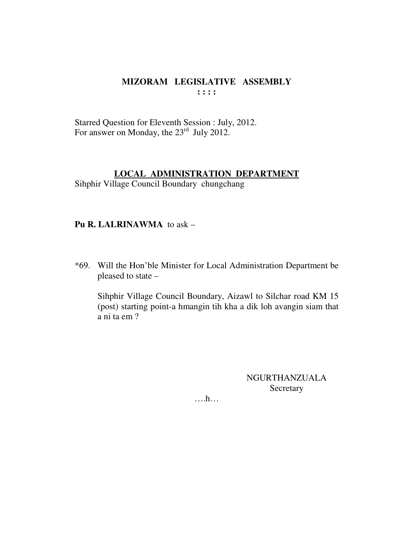Starred Question for Eleventh Session : July, 2012. For answer on Monday, the 23<sup>rd</sup> July 2012.

#### **LOCAL ADMINISTRATION DEPARTMENT**

Sihphir Village Council Boundary chungchang

## Pu R. LALRINAWMA to ask -

\*69. Will the Hon'ble Minister for Local Administration Department be pleased to state -

Sihphir Village Council Boundary, Aizawl to Silchar road KM 15 (post) starting point-a hmangin tih kha a dik loh avangin siam that a ni ta em ?

> NGURTHANZUALA Secretary

 $\dots$ ...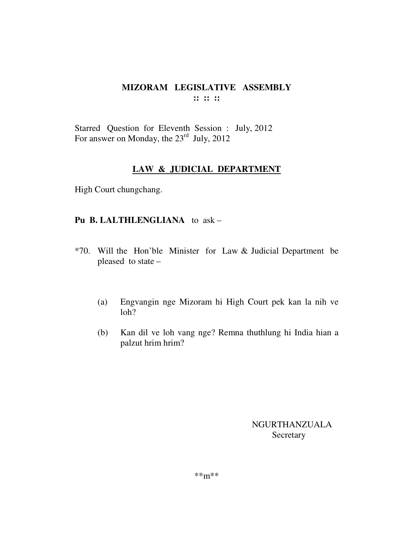## MIZORAM LEGISLATIVE ASSEMBLY  $\cdots$   $\cdots$   $\cdots$

Starred Question for Eleventh Session : July, 2012 For answer on Monday, the  $23^{\text{rd}}$  July, 2012

## **LAW & JUDICIAL DEPARTMENT**

High Court chungchang.

## Pu B. LALTHLENGLIANA to ask -

- \*70. Will the Hon'ble Minister for Law & Judicial Department be pleased to state -
	- $(a)$ Engvangin nge Mizoram hi High Court pek kan la nih ve  $1<sub>oh</sub>$ ?
	- $(b)$ Kan dil ve loh vang nge? Remna thuthlung hi India hian a palzut hrim hrim?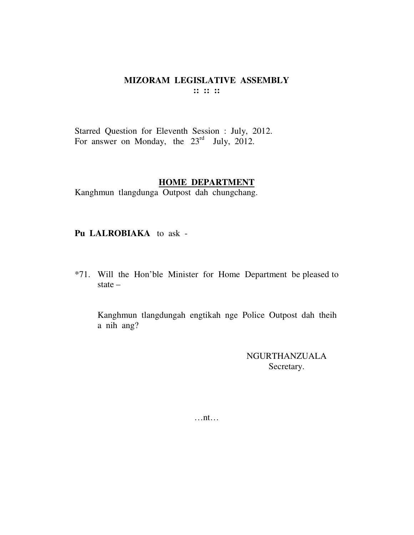Starred Question for Eleventh Session : July, 2012. For answer on Monday, the  $23<sup>rd</sup>$  July, 2012.

#### **HOME DEPARTMENT**

Kanghmun tlangdunga Outpost dah chungchang.

### **Pu LALROBIAKA** to ask -

\*71. Will the Hon'ble Minister for Home Department be pleased to state –

Kanghmun tlangdungah engtikah nge Police Outpost dah theih a nih ang?

> NGURTHANZUALA Secretary.

…nt…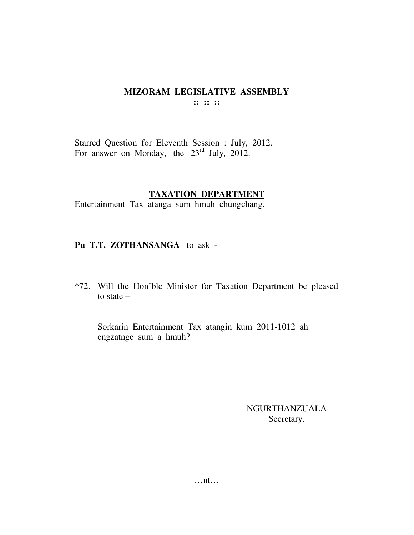Starred Question for Eleventh Session : July, 2012. For answer on Monday, the  $23<sup>rd</sup>$  July, 2012.

### **TAXATION DEPARTMENT**

Entertainment Tax atanga sum hmuh chungchang.

### **Pu T.T. ZOTHANSANGA** to ask -

\*72. Will the Hon'ble Minister for Taxation Department be pleased to state –

Sorkarin Entertainment Tax atangin kum 2011-1012 ah engzatnge sum a hmuh?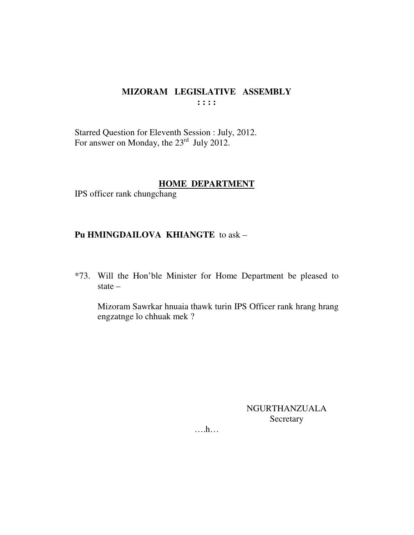Starred Question for Eleventh Session : July, 2012.<br>For answer on Monday, the 23<sup>rd</sup> July 2012.

#### **HOME DEPARTMENT**

IPS officer rank chungchang

## Pu HMINGDAILOVA KHIANGTE to ask -

\*73. Will the Hon'ble Minister for Home Department be pleased to state  $-$ 

Mizoram Sawrkar hnuaia thawk turin IPS Officer rank hrang hrang engzatnge lo chhuak mek?

> NGURTHANZUALA Secretary

 $\dots$ ...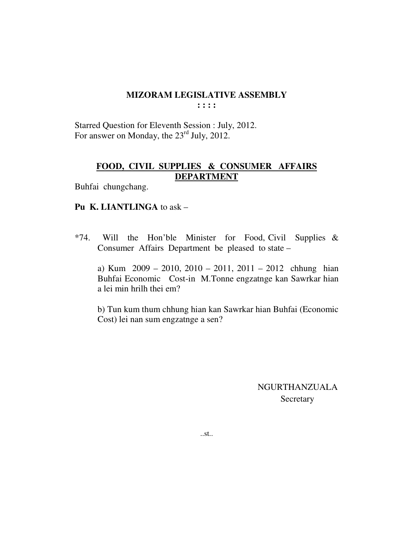Starred Question for Eleventh Session : July, 2012. For answer on Monday, the  $23<sup>rd</sup>$  July, 2012.

## **FOOD, CIVIL SUPPLIES & CONSUMER AFFAIRS DEPARTMENT**

Buhfai chungchang.

## **Pu K. LIANTLINGA** to ask –

\*74. Will the Hon'ble Minister for Food, Civil Supplies & Consumer Affairs Department be pleased to state –

 a) Kum 2009 – 2010, 2010 – 2011, 2011 – 2012 chhung hian Buhfai Economic Cost-in M.Tonne engzatnge kan Sawrkar hian a lei min hrilh thei em?

 b) Tun kum thum chhung hian kan Sawrkar hian Buhfai (Economic Cost) lei nan sum engzatnge a sen?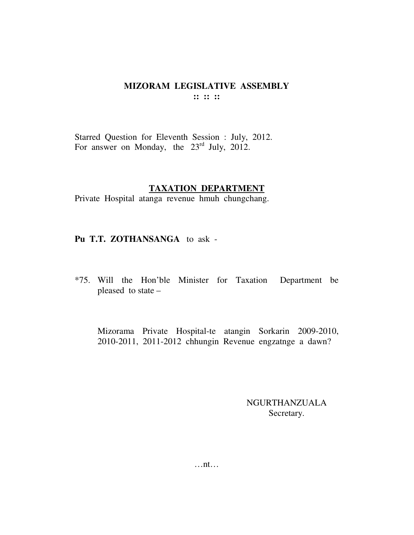Starred Question for Eleventh Session : July, 2012. For answer on Monday, the 23<sup>rd</sup> July, 2012.

#### **TAXATION DEPARTMENT**

Private Hospital atanga revenue hmuh chungchang.

**Pu T.T. ZOTHANSANGA** to ask -

\*75. Will the Hon'ble Minister for Taxation Department be pleased to state –

Mizorama Private Hospital-te atangin Sorkarin 2009-2010, 2010-2011, 2011-2012 chhungin Revenue engzatnge a dawn?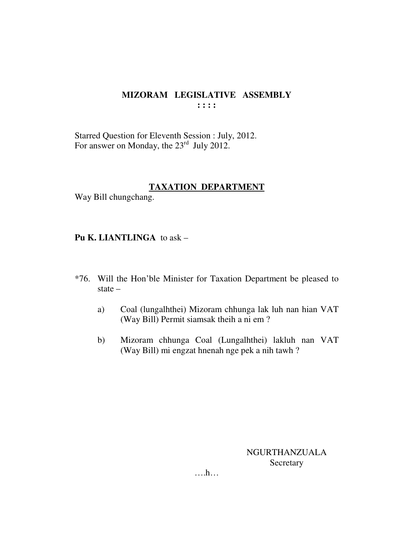Starred Question for Eleventh Session : July, 2012. For answer on Monday, the 23<sup>rd</sup> July 2012.

### **TAXATION DEPARTMENT**

Way Bill chungchang.

**Pu K. LIANTLINGA** to ask –

- \*76. Will the Hon'ble Minister for Taxation Department be pleased to state –
	- a) Coal (lungalhthei) Mizoram chhunga lak luh nan hian VAT (Way Bill) Permit siamsak theih a ni em ?
	- b) Mizoram chhunga Coal (Lungalhthei) lakluh nan VAT (Way Bill) mi engzat hnenah nge pek a nih tawh ?

NGURTHANZUALA **Secretary** 

….h…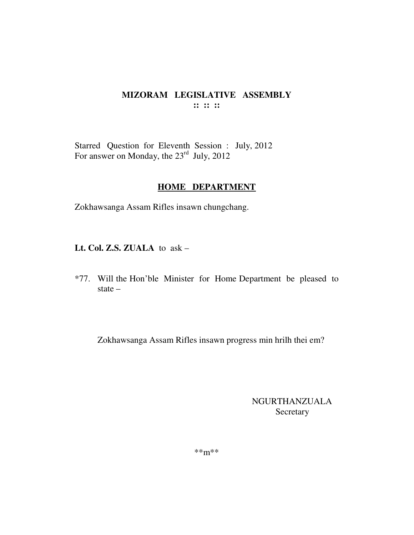## MIZORAM LEGISLATIVE ASSEMBLY  $\mathbf{::} :: \mathbf{::}$

Starred Question for Eleventh Session : July, 2012<br>For answer on Monday, the 23<sup>rd</sup> July, 2012

## **HOME DEPARTMENT**

Zokhawsanga Assam Rifles insawn chungchang.

Lt. Col. Z.S. ZUALA to ask -

\*77. Will the Hon'ble Minister for Home Department be pleased to state  $-$ 

Zokhawsanga Assam Rifles insawn progress min hrilh thei em?

**NGURTHANZUALA** Secretary

 $***m***$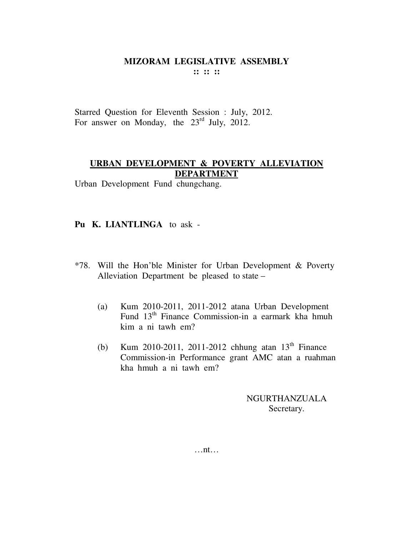Starred Question for Eleventh Session : July, 2012. For answer on Monday, the 23<sup>rd</sup> July, 2012.

## **URBAN DEVELOPMENT & POVERTY ALLEVIATION DEPARTMENT**

Urban Development Fund chungchang.

## **Pu K. LIANTLINGA** to ask -

- \*78. Will the Hon'ble Minister for Urban Development & Poverty Alleviation Department be pleased to state –
	- (a) Kum 2010-2011, 2011-2012 atana Urban Development Fund 13th Finance Commission-in a earmark kha hmuh kim a ni tawh em?
	- (b) Kum 2010-2011, 2011-2012 chhung atan  $13^{th}$  Finance Commission-in Performance grant AMC atan a ruahman kha hmuh a ni tawh em?

NGURTHANZUALA Secretary.

…nt…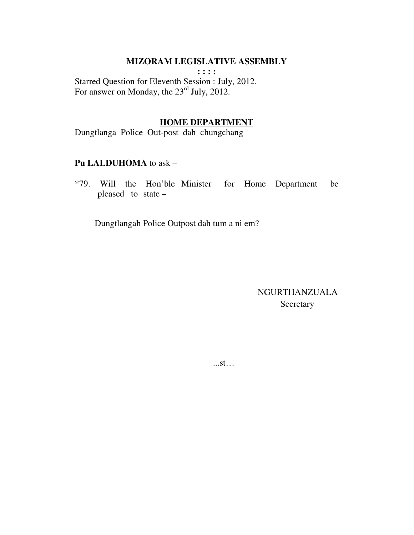#### MIZORAM LEGISLATIVE ASSEMBLY

 $: : : : :$ Starred Question for Eleventh Session : July, 2012. For answer on Monday, the 23<sup>rd</sup> July, 2012.

# **HOME DEPARTMENT**

Dungtlanga Police Out-post dah chungchang

#### Pu LALDUHOMA to ask -

\*79. Will the Hon'ble Minister for Home Department be pleased to state  $-$ 

Dungtlangah Police Outpost dah tum a ni em?

NGURTHANZUALA Secretary

 $...st...$